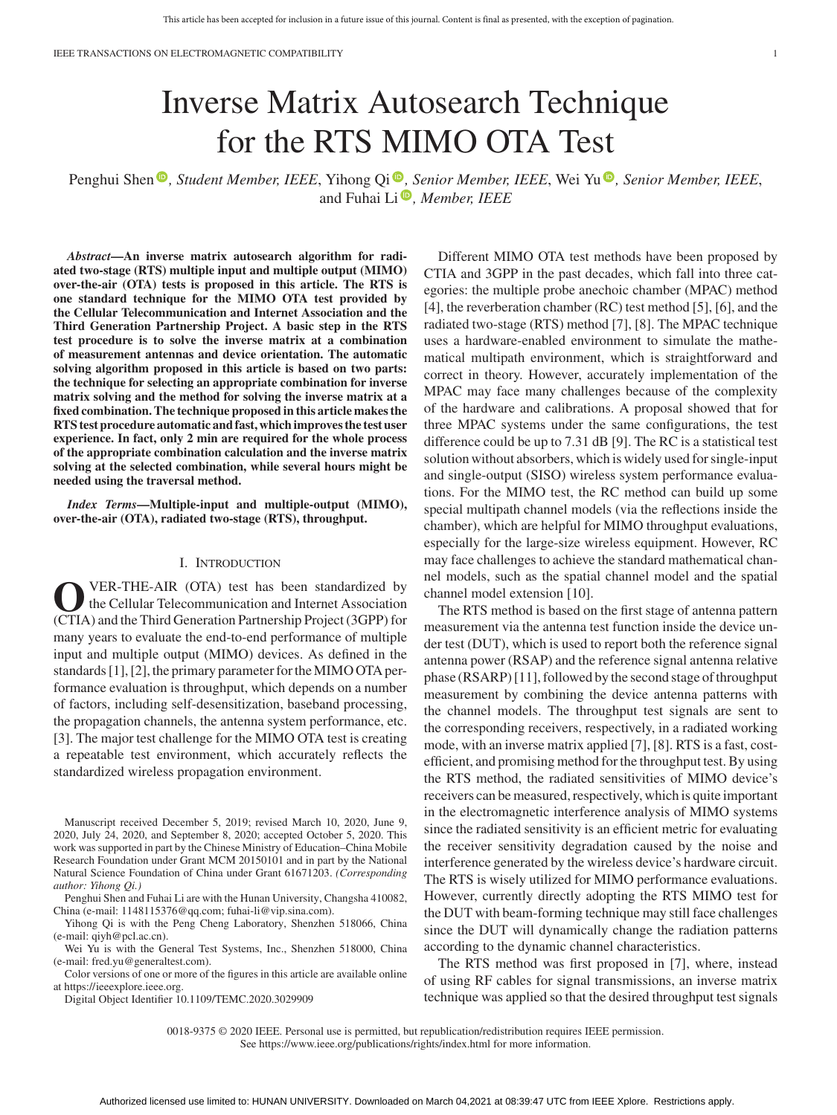IEEE TRANSACTIONS ON ELECTROMAGNETIC COMPATIBILITY 1

# Inverse Matrix Autosearch Technique for the RTS MIMO OTA Test

Penghui Shen <sup>®</sup>[,](https://orcid.org/0000-0002-6882-0043) *Student Member, IEEE*, Yihong Qi ®, *Senior Member, IEEE*, Wei Yu ®, *Senior Member, IEEE*, and Fuhai Li<sup>.</sup>, *Member, IEEE* 

*Abstract***—An inverse matrix autosearch algorithm for radiated two-stage (RTS) multiple input and multiple output (MIMO) over-the-air (OTA) tests is proposed in this article. The RTS is one standard technique for the MIMO OTA test provided by the Cellular Telecommunication and Internet Association and the Third Generation Partnership Project. A basic step in the RTS test procedure is to solve the inverse matrix at a combination of measurement antennas and device orientation. The automatic solving algorithm proposed in this article is based on two parts: the technique for selecting an appropriate combination for inverse matrix solving and the method for solving the inverse matrix at a fixed combination. The technique proposed in this article makes the RTS test procedure automatic and fast, which improves the test user experience. In fact, only 2 min are required for the whole process of the appropriate combination calculation and the inverse matrix solving at the selected combination, while several hours might be needed using the traversal method.**

*Index Terms***—Multiple-input and multiple-output (MIMO), over-the-air (OTA), radiated two-stage (RTS), throughput.**

#### I. INTRODUCTION

**O**VER-THE-AIR (OTA) test has been standardized by<br>the Cellular Telecommunication and Internet Association<br>(CTIA) and the Third Conception Pertecchin Project (3CPD) for (CTIA) and the Third Generation Partnership Project (3GPP) for many years to evaluate the end-to-end performance of multiple input and multiple output (MIMO) devices. As defined in the standards [1], [2], the primary parameter for the MIMO OTA performance evaluation is throughput, which depends on a number of factors, including self-desensitization, baseband processing, the propagation channels, the antenna system performance, etc. [3]. The major test challenge for the MIMO OTA test is creating a repeatable test environment, which accurately reflects the standardized wireless propagation environment.

Manuscript received December 5, 2019; revised March 10, 2020, June 9, 2020, July 24, 2020, and September 8, 2020; accepted October 5, 2020. This work was supported in part by the Chinese Ministry of Education–China Mobile Research Foundation under Grant MCM 20150101 and in part by the National Natural Science Foundation of China under Grant 61671203. *(Corresponding author: Yihong Qi.)*

Penghui Shen and Fuhai Li are with the Hunan University, Changsha 410082, China (e-mail: [1148115376@qq.com;](mailto:1148115376@qq.com) [fuhai-li@vip.sina.com\)](mailto:fuhai-li@vip.sina.com).

Yihong Qi is with the Peng Cheng Laboratory, Shenzhen 518066, China (e-mail: [qiyh@pcl.ac.cn\)](mailto:qiyh@pcl.ac.cn).

Wei Yu is with the General Test Systems, Inc., Shenzhen 518000, China (e-mail: [fred.yu@generaltest.com\)](mailto:fred.yu@generaltest.com).

Color versions of one or more of the figures in this article are available online at [https://ieeexplore.ieee.org.](https://ieeexplore.ieee.org)

Digital Object Identifier 10.1109/TEMC.2020.3029909

Different MIMO OTA test methods have been proposed by CTIA and 3GPP in the past decades, which fall into three categories: the multiple probe anechoic chamber (MPAC) method [4], the reverberation chamber (RC) test method [5], [6], and the radiated two-stage (RTS) method [7], [8]. The MPAC technique uses a hardware-enabled environment to simulate the mathematical multipath environment, which is straightforward and correct in theory. However, accurately implementation of the MPAC may face many challenges because of the complexity of the hardware and calibrations. A proposal showed that for three MPAC systems under the same configurations, the test difference could be up to 7.31 dB [9]. The RC is a statistical test solution without absorbers, which is widely used for single-input and single-output (SISO) wireless system performance evaluations. For the MIMO test, the RC method can build up some special multipath channel models (via the reflections inside the chamber), which are helpful for MIMO throughput evaluations, especially for the large-size wireless equipment. However, RC may face challenges to achieve the standard mathematical channel models, such as the spatial channel model and the spatial channel model extension [10].

The RTS method is based on the first stage of antenna pattern measurement via the antenna test function inside the device under test (DUT), which is used to report both the reference signal antenna power (RSAP) and the reference signal antenna relative phase (RSARP) [11], followed by the second stage of throughput measurement by combining the device antenna patterns with the channel models. The throughput test signals are sent to the corresponding receivers, respectively, in a radiated working mode, with an inverse matrix applied [7], [8]. RTS is a fast, costefficient, and promising method for the throughput test. By using the RTS method, the radiated sensitivities of MIMO device's receivers can be measured, respectively, which is quite important in the electromagnetic interference analysis of MIMO systems since the radiated sensitivity is an efficient metric for evaluating the receiver sensitivity degradation caused by the noise and interference generated by the wireless device's hardware circuit. The RTS is wisely utilized for MIMO performance evaluations. However, currently directly adopting the RTS MIMO test for the DUT with beam-forming technique may still face challenges since the DUT will dynamically change the radiation patterns according to the dynamic channel characteristics.

The RTS method was first proposed in [7], where, instead of using RF cables for signal transmissions, an inverse matrix technique was applied so that the desired throughput test signals

See https://www.ieee.org/publications/rights/index.html for more information.

<sup>0018-9375 © 2020</sup> IEEE. Personal use is permitted, but republication/redistribution requires IEEE permission.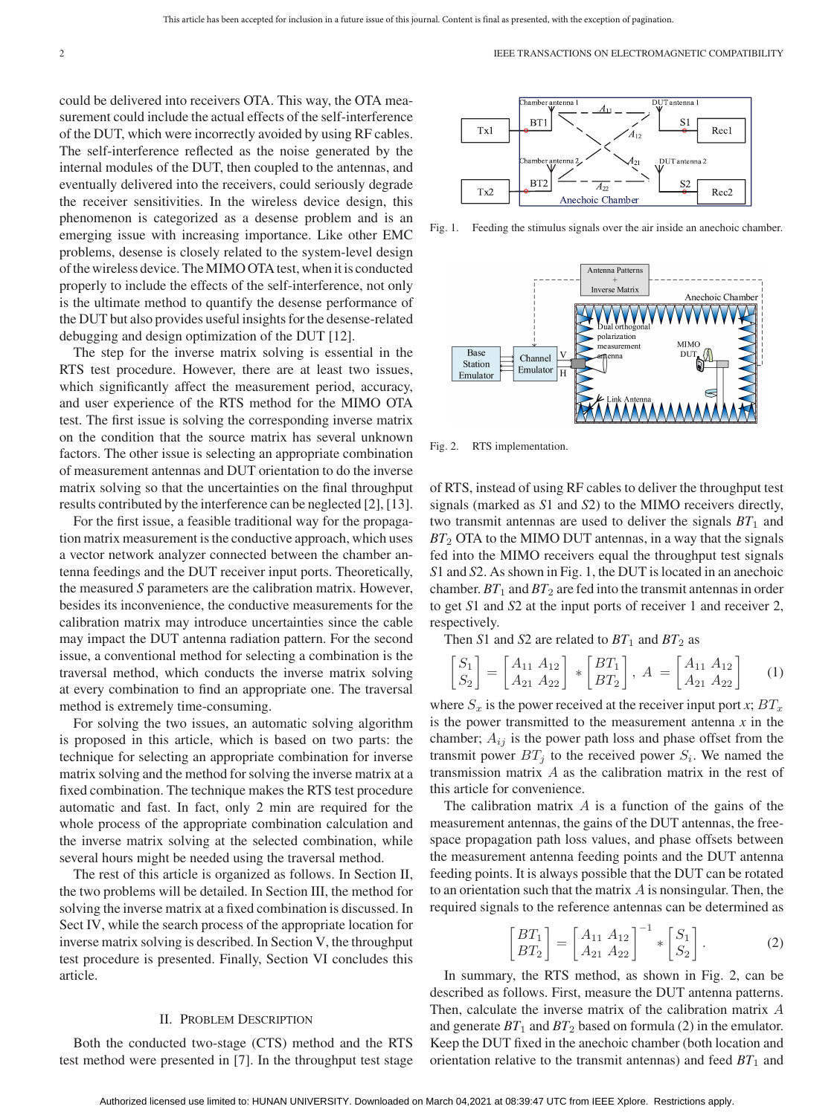could be delivered into receivers OTA. This way, the OTA measurement could include the actual effects of the self-interference of the DUT, which were incorrectly avoided by using RF cables. The self-interference reflected as the noise generated by the internal modules of the DUT, then coupled to the antennas, and eventually delivered into the receivers, could seriously degrade the receiver sensitivities. In the wireless device design, this phenomenon is categorized as a desense problem and is an emerging issue with increasing importance. Like other EMC problems, desense is closely related to the system-level design of the wireless device. TheMIMO OTA test, when it is conducted properly to include the effects of the self-interference, not only is the ultimate method to quantify the desense performance of the DUT but also provides useful insights for the desense-related debugging and design optimization of the DUT [12].

The step for the inverse matrix solving is essential in the RTS test procedure. However, there are at least two issues, which significantly affect the measurement period, accuracy, and user experience of the RTS method for the MIMO OTA test. The first issue is solving the corresponding inverse matrix on the condition that the source matrix has several unknown factors. The other issue is selecting an appropriate combination of measurement antennas and DUT orientation to do the inverse matrix solving so that the uncertainties on the final throughput results contributed by the interference can be neglected [2], [13].

For the first issue, a feasible traditional way for the propagation matrix measurement is the conductive approach, which uses a vector network analyzer connected between the chamber antenna feedings and the DUT receiver input ports. Theoretically, the measured *S* parameters are the calibration matrix. However, besides its inconvenience, the conductive measurements for the calibration matrix may introduce uncertainties since the cable may impact the DUT antenna radiation pattern. For the second issue, a conventional method for selecting a combination is the traversal method, which conducts the inverse matrix solving at every combination to find an appropriate one. The traversal method is extremely time-consuming.

For solving the two issues, an automatic solving algorithm is proposed in this article, which is based on two parts: the technique for selecting an appropriate combination for inverse matrix solving and the method for solving the inverse matrix at a fixed combination. The technique makes the RTS test procedure automatic and fast. In fact, only 2 min are required for the whole process of the appropriate combination calculation and the inverse matrix solving at the selected combination, while several hours might be needed using the traversal method.

The rest of this article is organized as follows. In Section II, the two problems will be detailed. In Section III, the method for solving the inverse matrix at a fixed combination is discussed. In Sect IV, while the search process of the appropriate location for inverse matrix solving is described. In Section V, the throughput test procedure is presented. Finally, Section VI concludes this article.

#### II. PROBLEM DESCRIPTION

Both the conducted two-stage (CTS) method and the RTS test method were presented in [7]. In the throughput test stage



Fig. 1. Feeding the stimulus signals over the air inside an anechoic chamber.



Fig. 2. RTS implementation.

of RTS, instead of using RF cables to deliver the throughput test signals (marked as *S*1 and *S*2) to the MIMO receivers directly, two transmit antennas are used to deliver the signals  $BT_1$  and *BT*<sub>2</sub> OTA to the MIMO DUT antennas, in a way that the signals fed into the MIMO receivers equal the throughput test signals *S*1 and *S*2. As shown in Fig. 1, the DUT is located in an anechoic chamber.  $BT_1$  and  $BT_2$  are fed into the transmit antennas in order to get *S*1 and *S*2 at the input ports of receiver 1 and receiver 2, respectively.

Then *S*1 and *S*2 are related to  $BT_1$  and  $BT_2$  as

$$
\begin{bmatrix} S_1 \\ S_2 \end{bmatrix} = \begin{bmatrix} A_{11} & A_{12} \\ A_{21} & A_{22} \end{bmatrix} * \begin{bmatrix} BT_1 \\ BT_2 \end{bmatrix}, A = \begin{bmatrix} A_{11} & A_{12} \\ A_{21} & A_{22} \end{bmatrix}
$$
 (1)

where  $S_x$  is the power received at the receiver input port *x*;  $BT_x$ is the power transmitted to the measurement antenna *x* in the chamber;  $A_{ij}$  is the power path loss and phase offset from the transmit power  $BT_j$  to the received power  $S_i$ . We named the transmission matrix A as the calibration matrix in the rest of this article for convenience.

The calibration matrix  $A$  is a function of the gains of the measurement antennas, the gains of the DUT antennas, the freespace propagation path loss values, and phase offsets between the measurement antenna feeding points and the DUT antenna feeding points. It is always possible that the DUT can be rotated to an orientation such that the matrix  $A$  is nonsingular. Then, the required signals to the reference antennas can be determined as

$$
\begin{bmatrix} BT_1 \\ BT_2 \end{bmatrix} = \begin{bmatrix} A_{11} & A_{12} \\ A_{21} & A_{22} \end{bmatrix}^{-1} * \begin{bmatrix} S_1 \\ S_2 \end{bmatrix}.
$$
 (2)

In summary, the RTS method, as shown in Fig. 2, can be described as follows. First, measure the DUT antenna patterns. Then, calculate the inverse matrix of the calibration matrix A and generate  $BT_1$  and  $BT_2$  based on formula (2) in the emulator. Keep the DUT fixed in the anechoic chamber (both location and orientation relative to the transmit antennas) and feed  $BT_1$  and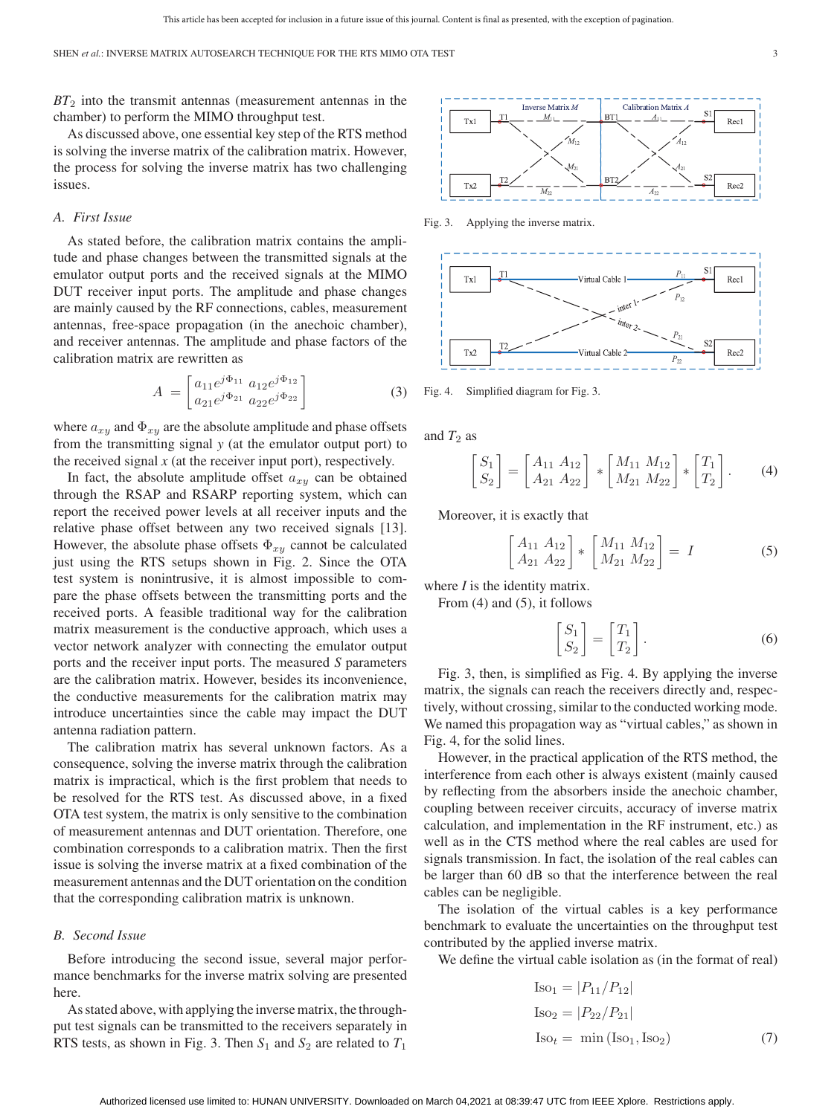*BT*<sup>2</sup> into the transmit antennas (measurement antennas in the chamber) to perform the MIMO throughput test.

As discussed above, one essential key step of the RTS method is solving the inverse matrix of the calibration matrix. However, the process for solving the inverse matrix has two challenging issues.

# *A. First Issue*

As stated before, the calibration matrix contains the amplitude and phase changes between the transmitted signals at the emulator output ports and the received signals at the MIMO DUT receiver input ports. The amplitude and phase changes are mainly caused by the RF connections, cables, measurement antennas, free-space propagation (in the anechoic chamber), and receiver antennas. The amplitude and phase factors of the calibration matrix are rewritten as

$$
A = \begin{bmatrix} a_{11}e^{j\Phi_{11}} & a_{12}e^{j\Phi_{12}} \\ a_{21}e^{j\Phi_{21}} & a_{22}e^{j\Phi_{22}} \end{bmatrix}
$$
 (3)

where  $a_{xy}$  and  $\Phi_{xy}$  are the absolute amplitude and phase offsets from the transmitting signal *y* (at the emulator output port) to the received signal *x* (at the receiver input port), respectively.

In fact, the absolute amplitude offset  $a_{xy}$  can be obtained through the RSAP and RSARP reporting system, which can report the received power levels at all receiver inputs and the relative phase offset between any two received signals [13]. However, the absolute phase offsets  $\Phi_{xy}$  cannot be calculated just using the RTS setups shown in Fig. 2. Since the OTA test system is nonintrusive, it is almost impossible to compare the phase offsets between the transmitting ports and the received ports. A feasible traditional way for the calibration matrix measurement is the conductive approach, which uses a vector network analyzer with connecting the emulator output ports and the receiver input ports. The measured *S* parameters are the calibration matrix. However, besides its inconvenience, the conductive measurements for the calibration matrix may introduce uncertainties since the cable may impact the DUT antenna radiation pattern.

The calibration matrix has several unknown factors. As a consequence, solving the inverse matrix through the calibration matrix is impractical, which is the first problem that needs to be resolved for the RTS test. As discussed above, in a fixed OTA test system, the matrix is only sensitive to the combination of measurement antennas and DUT orientation. Therefore, one combination corresponds to a calibration matrix. Then the first issue is solving the inverse matrix at a fixed combination of the measurement antennas and the DUT orientation on the condition that the corresponding calibration matrix is unknown.

# *B. Second Issue*

Before introducing the second issue, several major performance benchmarks for the inverse matrix solving are presented here.

As stated above, with applying the inverse matrix, the throughput test signals can be transmitted to the receivers separately in RTS tests, as shown in Fig. 3. Then  $S_1$  and  $S_2$  are related to  $T_1$ 

Inverse Matrix M Calibration Matrix  $A$  $S1$ **RT**  $M_1$ Rec1  $Tx1$  $M_{12}$  $Tx2$ Rec2

Fig. 3. Applying the inverse matrix.



Fig. 4. Simplified diagram for Fig. 3.

and  $T_2$  as

$$
\begin{bmatrix} S_1 \\ S_2 \end{bmatrix} = \begin{bmatrix} A_{11} & A_{12} \\ A_{21} & A_{22} \end{bmatrix} * \begin{bmatrix} M_{11} & M_{12} \\ M_{21} & M_{22} \end{bmatrix} * \begin{bmatrix} T_1 \\ T_2 \end{bmatrix}.
$$
 (4)

Moreover, it is exactly that

$$
\begin{bmatrix} A_{11} & A_{12} \\ A_{21} & A_{22} \end{bmatrix} * \begin{bmatrix} M_{11} & M_{12} \\ M_{21} & M_{22} \end{bmatrix} = I
$$
 (5)

where *I* is the identity matrix.

From (4) and (5), it follows

$$
\begin{bmatrix} S_1 \\ S_2 \end{bmatrix} = \begin{bmatrix} T_1 \\ T_2 \end{bmatrix}.
$$
 (6)

Fig. 3, then, is simplified as Fig. 4. By applying the inverse matrix, the signals can reach the receivers directly and, respectively, without crossing, similar to the conducted working mode. We named this propagation way as "virtual cables," as shown in Fig. 4, for the solid lines.

However, in the practical application of the RTS method, the interference from each other is always existent (mainly caused by reflecting from the absorbers inside the anechoic chamber, coupling between receiver circuits, accuracy of inverse matrix calculation, and implementation in the RF instrument, etc.) as well as in the CTS method where the real cables are used for signals transmission. In fact, the isolation of the real cables can be larger than 60 dB so that the interference between the real cables can be negligible.

The isolation of the virtual cables is a key performance benchmark to evaluate the uncertainties on the throughput test contributed by the applied inverse matrix.

We define the virtual cable isolation as (in the format of real)

$$
Iso1 = |P11/P12|\nIso2 = |P22/P21|\nIsot = min (Iso1, Iso2) (7)
$$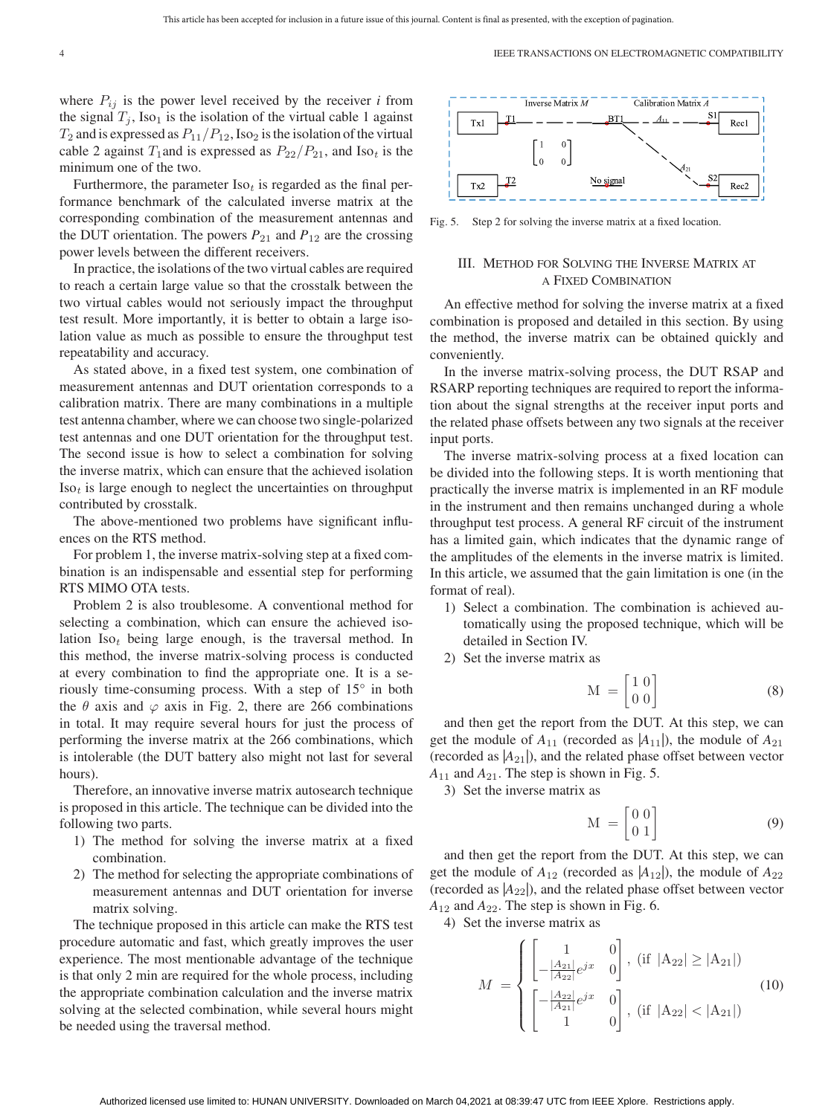where  $P_{ij}$  is the power level received by the receiver *i* from the signal  $T_i$ , Iso<sub>1</sub> is the isolation of the virtual cable 1 against  $T_2$  and is expressed as  $P_{11}/P_{12}$ , Iso<sub>2</sub> is the isolation of the virtual cable 2 against  $T_1$  and is expressed as  $P_{22}/P_{21}$ , and Iso<sub>t</sub> is the minimum one of the two.

Furthermore, the parameter  $Iso<sub>t</sub>$  is regarded as the final performance benchmark of the calculated inverse matrix at the corresponding combination of the measurement antennas and the DUT orientation. The powers  $P_{21}$  and  $P_{12}$  are the crossing power levels between the different receivers.

In practice, the isolations of the two virtual cables are required to reach a certain large value so that the crosstalk between the two virtual cables would not seriously impact the throughput test result. More importantly, it is better to obtain a large isolation value as much as possible to ensure the throughput test repeatability and accuracy.

As stated above, in a fixed test system, one combination of measurement antennas and DUT orientation corresponds to a calibration matrix. There are many combinations in a multiple test antenna chamber, where we can choose two single-polarized test antennas and one DUT orientation for the throughput test. The second issue is how to select a combination for solving the inverse matrix, which can ensure that the achieved isolation Iso*<sup>t</sup>* is large enough to neglect the uncertainties on throughput contributed by crosstalk.

The above-mentioned two problems have significant influences on the RTS method.

For problem 1, the inverse matrix-solving step at a fixed combination is an indispensable and essential step for performing RTS MIMO OTA tests.

Problem 2 is also troublesome. A conventional method for selecting a combination, which can ensure the achieved isolation Iso*<sup>t</sup>* being large enough, is the traversal method. In this method, the inverse matrix-solving process is conducted at every combination to find the appropriate one. It is a seriously time-consuming process. With a step of 15° in both the  $\theta$  axis and  $\varphi$  axis in Fig. 2, there are 266 combinations in total. It may require several hours for just the process of performing the inverse matrix at the 266 combinations, which is intolerable (the DUT battery also might not last for several hours).

Therefore, an innovative inverse matrix autosearch technique is proposed in this article. The technique can be divided into the following two parts.

- 1) The method for solving the inverse matrix at a fixed combination.
- 2) The method for selecting the appropriate combinations of measurement antennas and DUT orientation for inverse matrix solving.

The technique proposed in this article can make the RTS test procedure automatic and fast, which greatly improves the user experience. The most mentionable advantage of the technique is that only 2 min are required for the whole process, including the appropriate combination calculation and the inverse matrix solving at the selected combination, while several hours might be needed using the traversal method.



Fig. 5. Step 2 for solving the inverse matrix at a fixed location.

# III. METHOD FOR SOLVING THE INVERSE MATRIX AT A FIXED COMBINATION

An effective method for solving the inverse matrix at a fixed combination is proposed and detailed in this section. By using the method, the inverse matrix can be obtained quickly and conveniently.

In the inverse matrix-solving process, the DUT RSAP and RSARP reporting techniques are required to report the information about the signal strengths at the receiver input ports and the related phase offsets between any two signals at the receiver input ports.

The inverse matrix-solving process at a fixed location can be divided into the following steps. It is worth mentioning that practically the inverse matrix is implemented in an RF module in the instrument and then remains unchanged during a whole throughput test process. A general RF circuit of the instrument has a limited gain, which indicates that the dynamic range of the amplitudes of the elements in the inverse matrix is limited. In this article, we assumed that the gain limitation is one (in the format of real).

- 1) Select a combination. The combination is achieved automatically using the proposed technique, which will be detailed in Section IV.
- 2) Set the inverse matrix as

$$
\mathbf{M} = \begin{bmatrix} 1 & 0 \\ 0 & 0 \end{bmatrix} \tag{8}
$$

and then get the report from the DUT. At this step, we can get the module of  $A_{11}$  (recorded as  $|A_{11}|$ ), the module of  $A_{21}$ (recorded as  $|A_{21}|$ ), and the related phase offset between vector  $A_{11}$  and  $A_{21}$ . The step is shown in Fig. 5.

3) Set the inverse matrix as

$$
M = \begin{bmatrix} 0 & 0 \\ 0 & 1 \end{bmatrix} \tag{9}
$$

and then get the report from the DUT. At this step, we can get the module of  $A_{12}$  (recorded as  $|A_{12}|$ ), the module of  $A_{22}$ (recorded as  $|A_{22}|$ ), and the related phase offset between vector  $A_{12}$  and  $A_{22}$ . The step is shown in Fig. 6.

4) Set the inverse matrix as

$$
M = \begin{cases} \begin{bmatrix} 1 & 0 \\ -\frac{|A_{21}|}{|A_{22}|} e^{jx} & 0 \end{bmatrix}, (\text{if } |A_{22}| \ge |A_{21}|) \\ \begin{bmatrix} -\frac{|A_{22}|}{|A_{21}|} e^{jx} & 0 \\ 1 & 0 \end{bmatrix}, (\text{if } |A_{22}| < |A_{21}|) \end{cases}
$$
(10)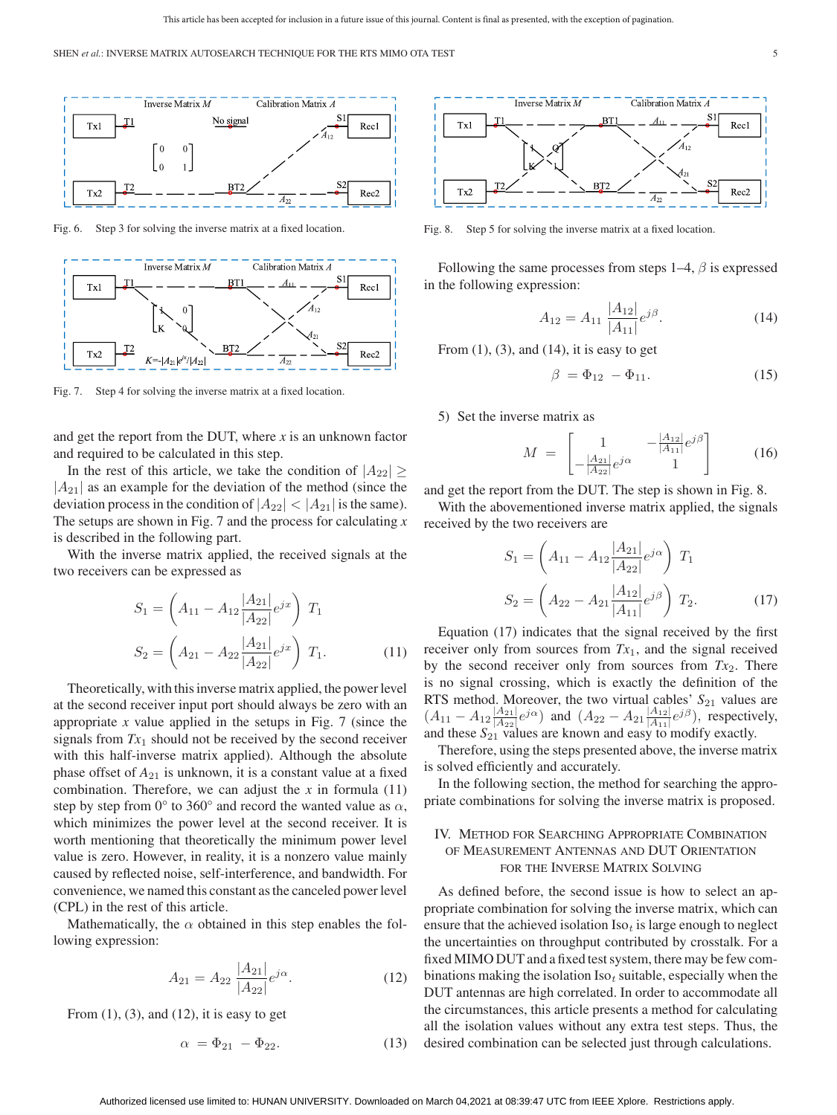

Fig. 6. Step 3 for solving the inverse matrix at a fixed location.



Fig. 7. Step 4 for solving the inverse matrix at a fixed location.

and get the report from the DUT, where *x* is an unknown factor and required to be calculated in this step.

In the rest of this article, we take the condition of  $|A_{22}| \ge$  $|A_{21}|$  as an example for the deviation of the method (since the deviation process in the condition of  $|A_{22}| < |A_{21}|$  is the same). The setups are shown in Fig. 7 and the process for calculating *x* is described in the following part.

With the inverse matrix applied, the received signals at the two receivers can be expressed as

$$
S_1 = \left(A_{11} - A_{12} \frac{|A_{21}|}{|A_{22}|} e^{jx}\right) T_1
$$
  

$$
S_2 = \left(A_{21} - A_{22} \frac{|A_{21}|}{|A_{22}|} e^{jx}\right) T_1.
$$
 (11)

Theoretically, with this inverse matrix applied, the power level at the second receiver input port should always be zero with an appropriate  $x$  value applied in the setups in Fig. 7 (since the signals from *Tx*<sup>1</sup> should not be received by the second receiver with this half-inverse matrix applied). Although the absolute phase offset of *A*<sup>21</sup> is unknown, it is a constant value at a fixed combination. Therefore, we can adjust the  $x$  in formula  $(11)$ step by step from  $0^{\circ}$  to 360° and record the wanted value as  $\alpha$ , which minimizes the power level at the second receiver. It is worth mentioning that theoretically the minimum power level value is zero. However, in reality, it is a nonzero value mainly caused by reflected noise, self-interference, and bandwidth. For convenience, we named this constant as the canceled power level (CPL) in the rest of this article.

Mathematically, the  $\alpha$  obtained in this step enables the following expression:

$$
A_{21} = A_{22} \frac{|A_{21}|}{|A_{22}|} e^{j\alpha}.
$$
 (12)

From  $(1)$ ,  $(3)$ , and  $(12)$ , it is easy to get

$$
\alpha = \Phi_{21} - \Phi_{22}.\tag{13}
$$



Fig. 8. Step 5 for solving the inverse matrix at a fixed location.

Following the same processes from steps  $1-4$ ,  $\beta$  is expressed in the following expression:

$$
A_{12} = A_{11} \frac{|A_{12}|}{|A_{11}|} e^{j\beta}.
$$
 (14)

From  $(1)$ ,  $(3)$ , and  $(14)$ , it is easy to get

$$
\beta = \Phi_{12} - \Phi_{11}.\tag{15}
$$

5) Set the inverse matrix as

$$
M = \begin{bmatrix} 1 & -\frac{|A_{12}|}{|A_{11}|} e^{j\beta} \\ -\frac{|A_{21}|}{|A_{22}|} e^{j\alpha} & 1 \end{bmatrix}
$$
 (16)

and get the report from the DUT. The step is shown in Fig. 8.

With the abovementioned inverse matrix applied, the signals received by the two receivers are

$$
S_1 = \left(A_{11} - A_{12} \frac{|A_{21}|}{|A_{22}|} e^{j\alpha}\right) T_1
$$
  

$$
S_2 = \left(A_{22} - A_{21} \frac{|A_{12}|}{|A_{11}|} e^{j\beta}\right) T_2.
$$
 (17)

Equation (17) indicates that the signal received by the first receiver only from sources from *Tx*1, and the signal received by the second receiver only from sources from  $Tx_2$ . There is no signal crossing, which is exactly the definition of the RTS method. Moreover, the two virtual cables'  $S_{21}$  values are  $(A_{11} - A_{12} \frac{|A_{21}|}{|A_{22}|} e^{j\alpha})$  and  $(A_{22} - A_{21} \frac{|A_{12}|}{|A_{11}|} e^{j\beta})$ , respectively, and these  $S_{21}$  values are known and easy to modify exactly.

Therefore, using the steps presented above, the inverse matrix is solved efficiently and accurately.

In the following section, the method for searching the appropriate combinations for solving the inverse matrix is proposed.

# IV. METHOD FOR SEARCHING APPROPRIATE COMBINATION OF MEASUREMENT ANTENNAS AND DUT ORIENTATION FOR THE INVERSE MATRIX SOLVING

As defined before, the second issue is how to select an appropriate combination for solving the inverse matrix, which can ensure that the achieved isolation  $Iso<sub>t</sub>$  is large enough to neglect the uncertainties on throughput contributed by crosstalk. For a fixed MIMO DUT and a fixed test system, there may be few combinations making the isolation Iso*<sup>t</sup>* suitable, especially when the DUT antennas are high correlated. In order to accommodate all the circumstances, this article presents a method for calculating all the isolation values without any extra test steps. Thus, the desired combination can be selected just through calculations.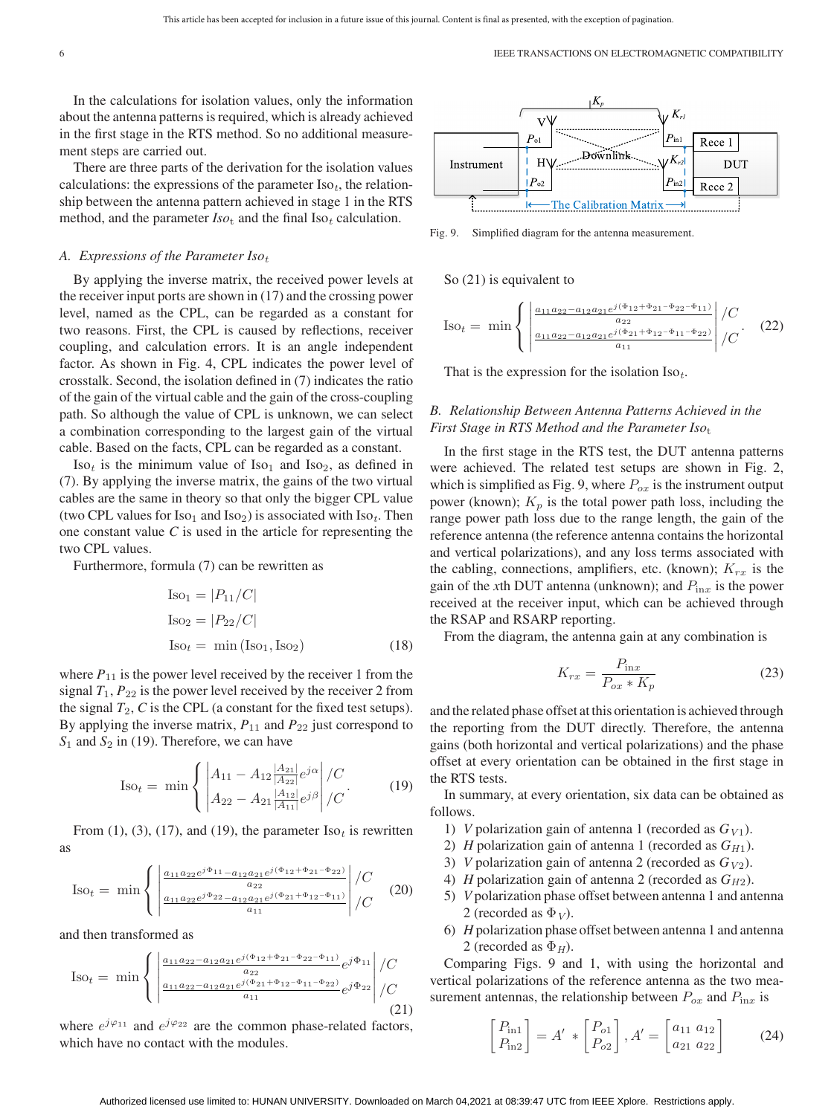6 IEEE TRANSACTIONS ON ELECTROMAGNETIC COMPATIBILITY

In the calculations for isolation values, only the information about the antenna patterns is required, which is already achieved in the first stage in the RTS method. So no additional measurement steps are carried out.

There are three parts of the derivation for the isolation values calculations: the expressions of the parameter  $Iso<sub>t</sub>$ , the relationship between the antenna pattern achieved in stage 1 in the RTS method, and the parameter  $Iso_t$  and the final  $Iso_t$  calculation.

## *A. Expressions of the Parameter Iso<sup>t</sup>*

By applying the inverse matrix, the received power levels at the receiver input ports are shown in (17) and the crossing power level, named as the CPL, can be regarded as a constant for two reasons. First, the CPL is caused by reflections, receiver coupling, and calculation errors. It is an angle independent factor. As shown in Fig. 4, CPL indicates the power level of crosstalk. Second, the isolation defined in (7) indicates the ratio of the gain of the virtual cable and the gain of the cross-coupling path. So although the value of CPL is unknown, we can select a combination corresponding to the largest gain of the virtual cable. Based on the facts, CPL can be regarded as a constant.

 $Iso<sub>t</sub>$  is the minimum value of  $Iso<sub>1</sub>$  and  $Iso<sub>2</sub>$ , as defined in (7). By applying the inverse matrix, the gains of the two virtual cables are the same in theory so that only the bigger CPL value (two CPL values for  $Iso_1$  and  $Iso_2$ ) is associated with  $Iso_t$ . Then one constant value *C* is used in the article for representing the two CPL values.

Furthermore, formula (7) can be rewritten as

$$
Iso1 = |P11/C|
$$
  
\n
$$
Iso2 = |P22/C|
$$
  
\n
$$
Isot = min (Iso1, Iso2)
$$
 (18)

where  $P_{11}$  is the power level received by the receiver 1 from the signal  $T_1$ ,  $P_{22}$  is the power level received by the receiver 2 from the signal  $T_2$ ,  $C$  is the CPL (a constant for the fixed test setups). By applying the inverse matrix,  $P_{11}$  and  $P_{22}$  just correspond to  $S_1$  and  $S_2$  in (19). Therefore, we can have

$$
\text{Iso}_{t} = \min \left\{ \left| \frac{A_{11} - A_{12} \frac{|A_{21}|}{|A_{22}|} e^{j\alpha}}{A_{22} - A_{21} \frac{|A_{12}|}{|A_{11}|} e^{j\beta}} \right| / C \right\}.
$$
 (19)

From  $(1)$ ,  $(3)$ ,  $(17)$ , and  $(19)$ , the parameter  $Iso<sub>t</sub>$  is rewritten as

$$
\text{Iso}_{t} = \min \left\{ \left| \frac{\frac{a_{11} a_{22} e^{j\Phi_{11} - a_{12} a_{21} e^{j(\Phi_{12} + \Phi_{21} - \Phi_{22})}}{a_{22}}}{\frac{a_{11} a_{22} e^{j\Phi_{22} - a_{12} a_{21} e^{j(\Phi_{21} + \Phi_{12} - \Phi_{11})}}{a_{11}}} \right| / C \right\}
$$
(20)

and then transformed as

$$
\text{Iso}_{t} = \min \left\{ \left| \frac{\frac{a_{11}a_{22} - a_{12}a_{21}e^{j(\Phi_{12} + \Phi_{21} - \Phi_{22} - \Phi_{11})}}{a_{22}} e^{j\Phi_{11}}}{\frac{a_{11}a_{22} - a_{12}a_{21}e^{j(\Phi_{21} + \Phi_{12} - \Phi_{11} - \Phi_{22})}}{a_{11}}} e^{j\Phi_{22}} \right| / C \tag{21}
$$

where  $e^{j\varphi_{11}}$  and  $e^{j\varphi_{22}}$  are the common phase-related factors, which have no contact with the modules.



Fig. 9. Simplified diagram for the antenna measurement.

So (21) is equivalent to

$$
\text{Iso}_{t} = \min \left\{ \left| \frac{\frac{a_{11}a_{22} - a_{12}a_{21}e^{j(\Phi_{12} + \Phi_{21} - \Phi_{22} - \Phi_{11})}}{a_{22}}}{\frac{a_{11}a_{22} - a_{12}a_{21}e^{j(\Phi_{21} + \Phi_{12} - \Phi_{11} - \Phi_{22})}}{a_{11}}} \right| / C. \quad (22)
$$

That is the expression for the isolation Iso*t*.

# *B. Relationship Between Antenna Patterns Achieved in the First Stage in RTS Method and the Parameter Isot*

In the first stage in the RTS test, the DUT antenna patterns were achieved. The related test setups are shown in Fig. 2, which is simplified as Fig. 9, where  $P_{ox}$  is the instrument output power (known);  $K_p$  is the total power path loss, including the range power path loss due to the range length, the gain of the reference antenna (the reference antenna contains the horizontal and vertical polarizations), and any loss terms associated with the cabling, connections, amplifiers, etc. (known);  $K_{rx}$  is the gain of the *x*th DUT antenna (unknown); and  $P_{\text{in}x}$  is the power received at the receiver input, which can be achieved through the RSAP and RSARP reporting.

From the diagram, the antenna gain at any combination is

$$
K_{rx} = \frac{P_{\text{in}x}}{P_{ox} * K_p} \tag{23}
$$

and the related phase offset at this orientation is achieved through the reporting from the DUT directly. Therefore, the antenna gains (both horizontal and vertical polarizations) and the phase offset at every orientation can be obtained in the first stage in the RTS tests.

In summary, at every orientation, six data can be obtained as follows.

- 1) *V* polarization gain of antenna 1 (recorded as  $G_{V1}$ ).
- 2) *H* polarization gain of antenna 1 (recorded as  $G_{H1}$ ).
- 3) *V* polarization gain of antenna 2 (recorded as  $G_{V2}$ ).
- 4) *H* polarization gain of antenna 2 (recorded as *GH*2).
- 5) *V* polarization phase offset between antenna 1 and antenna 2 (recorded as  $\Phi_V$ ).
- 6) *H* polarization phase offset between antenna 1 and antenna 2 (recorded as  $\Phi$ <sub>*H*</sub>).

Comparing Figs. 9 and 1, with using the horizontal and vertical polarizations of the reference antenna as the two measurement antennas, the relationship between  $P_{ox}$  and  $P_{\text{in}x}$  is

$$
\begin{bmatrix} P_{\text{in}1} \\ P_{\text{in}2} \end{bmatrix} = A' * \begin{bmatrix} P_{o1} \\ P_{o2} \end{bmatrix}, A' = \begin{bmatrix} a_{11} & a_{12} \\ a_{21} & a_{22} \end{bmatrix}
$$
 (24)

 $\sqrt{ }$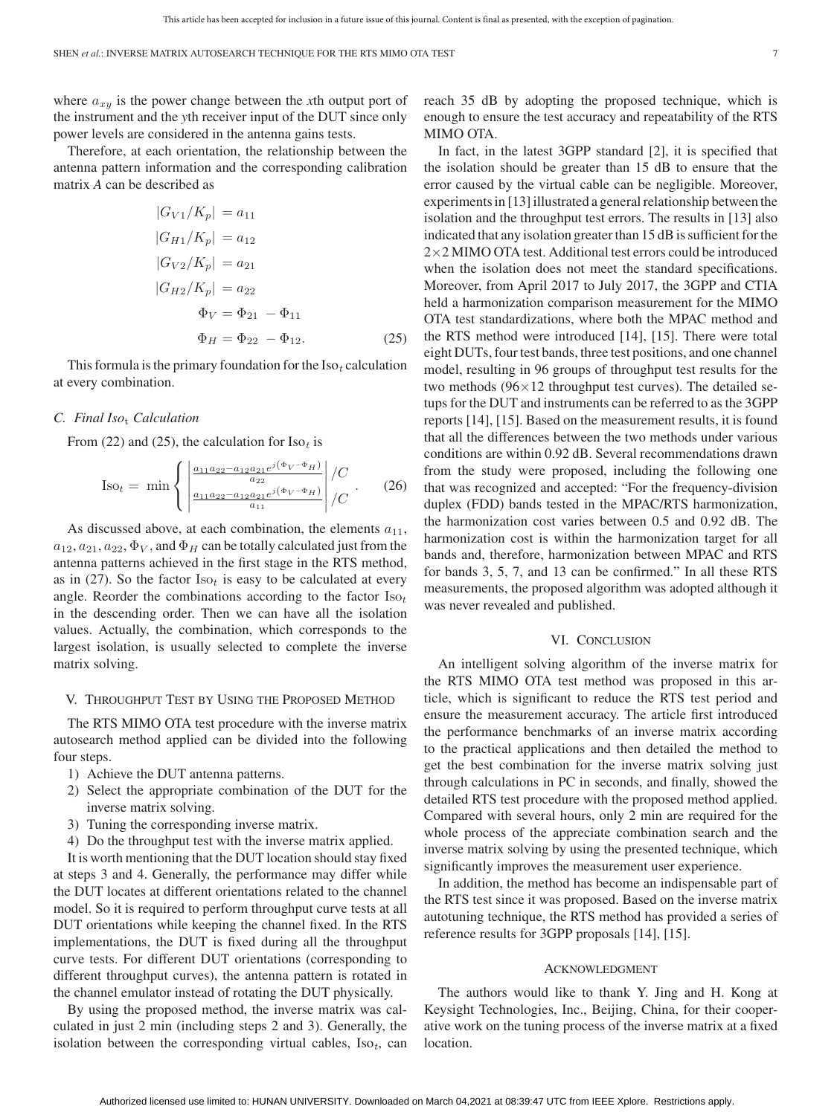where  $a_{xy}$  is the power change between the *x*th output port of the instrument and the *y*th receiver input of the DUT since only power levels are considered in the antenna gains tests.

Therefore, at each orientation, the relationship between the antenna pattern information and the corresponding calibration matrix *A* can be described as

$$
|G_{V1}/K_p| = a_{11}
$$
  
\n
$$
|G_{H1}/K_p| = a_{12}
$$
  
\n
$$
|G_{V2}/K_p| = a_{21}
$$
  
\n
$$
|G_{H2}/K_p| = a_{22}
$$
  
\n
$$
\Phi_V = \Phi_{21} - \Phi_{11}
$$
  
\n
$$
\Phi_H = \Phi_{22} - \Phi_{12}.
$$
\n(25)

This formula is the primary foundation for the  $Iso<sub>t</sub>$  calculation at every combination.

### *C. Final Iso*<sup>t</sup> *Calculation*

From (22) and (25), the calculation for  $\text{Iso}_t$  is

$$
\text{Iso}_{t} = \min \left\{ \left| \frac{\frac{a_{11}a_{22} - a_{12}a_{21}e^{j(\Phi_{V} - \Phi_{H})}}{a_{22}}}{\frac{a_{11}a_{22} - a_{12}a_{21}e^{j(\Phi_{V} - \Phi_{H})}}{a_{11}}} \right| / C \right\}. \tag{26}
$$

As discussed above, at each combination, the elements  $a_{11}$ ,  $a_{12}, a_{21}, a_{22}, \Phi_V$ , and  $\Phi_H$  can be totally calculated just from the antenna patterns achieved in the first stage in the RTS method, as in (27). So the factor  $Iso_t$  is easy to be calculated at every angle. Reorder the combinations according to the factor  $Iso_t$ in the descending order. Then we can have all the isolation values. Actually, the combination, which corresponds to the largest isolation, is usually selected to complete the inverse matrix solving.

#### V. THROUGHPUT TEST BY USING THE PROPOSED METHOD

The RTS MIMO OTA test procedure with the inverse matrix autosearch method applied can be divided into the following four steps.

- 1) Achieve the DUT antenna patterns.
- 2) Select the appropriate combination of the DUT for the inverse matrix solving.
- 3) Tuning the corresponding inverse matrix.
- 4) Do the throughput test with the inverse matrix applied.

It is worth mentioning that the DUT location should stay fixed at steps 3 and 4. Generally, the performance may differ while the DUT locates at different orientations related to the channel model. So it is required to perform throughput curve tests at all DUT orientations while keeping the channel fixed. In the RTS implementations, the DUT is fixed during all the throughput curve tests. For different DUT orientations (corresponding to different throughput curves), the antenna pattern is rotated in the channel emulator instead of rotating the DUT physically.

By using the proposed method, the inverse matrix was calculated in just 2 min (including steps 2 and 3). Generally, the isolation between the corresponding virtual cables,  $Iso<sub>t</sub>$ , can reach 35 dB by adopting the proposed technique, which is enough to ensure the test accuracy and repeatability of the RTS MIMO OTA.

In fact, in the latest 3GPP standard [2], it is specified that the isolation should be greater than 15 dB to ensure that the error caused by the virtual cable can be negligible. Moreover, experiments in [13] illustrated a general relationship between the isolation and the throughput test errors. The results in [13] also indicated that any isolation greater than 15 dB is sufficient for the 2×2 MIMO OTA test. Additional test errors could be introduced when the isolation does not meet the standard specifications. Moreover, from April 2017 to July 2017, the 3GPP and CTIA held a harmonization comparison measurement for the MIMO OTA test standardizations, where both the MPAC method and the RTS method were introduced [14], [15]. There were total eight DUTs, four test bands, three test positions, and one channel model, resulting in 96 groups of throughput test results for the two methods (96×12 throughput test curves). The detailed setups for the DUT and instruments can be referred to as the 3GPP reports [14], [15]. Based on the measurement results, it is found that all the differences between the two methods under various conditions are within 0.92 dB. Several recommendations drawn from the study were proposed, including the following one that was recognized and accepted: "For the frequency-division duplex (FDD) bands tested in the MPAC/RTS harmonization, the harmonization cost varies between 0.5 and 0.92 dB. The harmonization cost is within the harmonization target for all bands and, therefore, harmonization between MPAC and RTS for bands 3, 5, 7, and 13 can be confirmed." In all these RTS measurements, the proposed algorithm was adopted although it was never revealed and published.

#### VI. CONCLUSION

An intelligent solving algorithm of the inverse matrix for the RTS MIMO OTA test method was proposed in this article, which is significant to reduce the RTS test period and ensure the measurement accuracy. The article first introduced the performance benchmarks of an inverse matrix according to the practical applications and then detailed the method to get the best combination for the inverse matrix solving just through calculations in PC in seconds, and finally, showed the detailed RTS test procedure with the proposed method applied. Compared with several hours, only 2 min are required for the whole process of the appreciate combination search and the inverse matrix solving by using the presented technique, which significantly improves the measurement user experience.

In addition, the method has become an indispensable part of the RTS test since it was proposed. Based on the inverse matrix autotuning technique, the RTS method has provided a series of reference results for 3GPP proposals [14], [15].

#### ACKNOWLEDGMENT

The authors would like to thank Y. Jing and H. Kong at Keysight Technologies, Inc., Beijing, China, for their cooperative work on the tuning process of the inverse matrix at a fixed location.